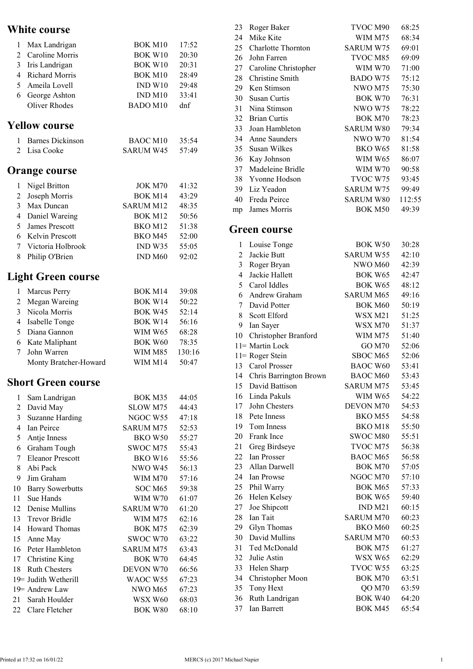## White course

|                          | v mit tourst              |                    |        |
|--------------------------|---------------------------|--------------------|--------|
| 1                        | Max Landrigan             | <b>BOK M10</b>     | 17:52  |
| $\overline{c}$           | Caroline Morris           | <b>BOK W10</b>     | 20:30  |
| 3                        | Iris Landrigan            | <b>BOK W10</b>     | 20:31  |
|                          | 4 Richard Morris          | <b>BOK M10</b>     | 28:49  |
| 5                        | Ameila Lovell             | IND W10            | 29:48  |
| 6                        | George Ashton             | IND <sub>M10</sub> | 33:41  |
|                          | <b>Oliver Rhodes</b>      | BADO M10           | dnf    |
|                          | <b>Yellow course</b>      |                    |        |
| 1                        | <b>Barnes Dickinson</b>   | <b>BAOC M10</b>    | 35:54  |
| 2                        | Lisa Cooke                | <b>SARUM W45</b>   | 57:49  |
|                          | <b>Orange course</b>      |                    |        |
| 1                        | Nigel Britton             | JOK M70            | 41:32  |
| $\overline{2}$           | Joseph Morris             | BOK M14            | 43:29  |
|                          | 3 Max Duncan              | <b>SARUM M12</b>   | 48:35  |
|                          | 4 Daniel Wareing          | BOK M12            | 50:56  |
| 5                        | James Prescott            | BKO M12            | 51:38  |
| 6                        | <b>Kelvin Prescott</b>    | BKO M45            | 52:00  |
| 7                        | Victoria Holbrook         | IND W35            | 55:05  |
| 8                        | Philip O'Brien            | IND <sub>M60</sub> | 92:02  |
|                          | Light Green course        |                    |        |
| 1                        | Marcus Perry              | BOK M14            | 39:08  |
| $\overline{c}$           | Megan Wareing             | BOK W14            | 50:22  |
| 3                        | Nicola Morris             | BOK W45            | 52:14  |
| $\overline{\mathcal{A}}$ | Isabelle Tonge            | BOK W14            | 56:16  |
| 5                        | Diana Gannon              | WIM W65            | 68:28  |
| 6                        | Kate Maliphant            | <b>BOK W60</b>     | 78:35  |
| 7                        | John Warren               | WIM M85            | 130:16 |
|                          | Monty Bratcher-Howard     | WIM M14            | 50:47  |
|                          | <b>Short Green course</b> |                    |        |
| 1                        | Sam Landrigan             | BOK M35            | 44:05  |
| 2                        | David May                 | SLOW M75           | 44:43  |
| 3                        | <b>Suzanne Harding</b>    | NGOC W55           | 47:18  |
| $\overline{4}$           | <b>Ian Peirce</b>         | SARUM M75          | 52:53  |
| 5                        | Antje Inness              | BKO W50            | 55:27  |
| 6                        | Graham Tough              | SWOC M75           | 55:43  |
| 7                        | <b>Eleanor Prescott</b>   | <b>BKO W16</b>     | 55:56  |
| 8                        | Abi Pack                  | NWO W45            | 56:13  |
| 9                        | Jim Graham                | WIM M70            | 57:16  |
| 10                       | <b>Barry Sowerbutts</b>   | SOC M65            | 59:38  |
| 11                       | Sue Hands                 | <b>WIM W70</b>     | 61:07  |
| 12                       | Denise Mullins            | <b>SARUM W70</b>   | 61:20  |
| 13                       | <b>Trevor Bridle</b>      | WIM M75            | 62:16  |
| 14                       | Howard Thomas             | BOK M75            | 62:39  |
| 15                       | Anne May                  | SWOC W70           | 63:22  |
| 16                       | Peter Hambleton           | SARUM M75          | 63:43  |
| 17                       | Christine King            | BOK W70            | 64:45  |
| 18                       | <b>Ruth Chesters</b>      | DEVON W70          | 66:56  |
|                          | 19 Judith Wetherill       | WAOC W55           | 67:23  |
|                          | 19 Andrew Law             | NWO M65            | 67:23  |
| 21                       | Sarah Houlder             | WSX W60            | 68:03  |
|                          | 22 Clare Fletcher         | <b>BOK W80</b>     | 68:10  |

| 23             | Roger Baker               | TVOC M90            | 68:25  |
|----------------|---------------------------|---------------------|--------|
| 24             | Mike Kite                 | WIM M75             | 68:34  |
| 25             | <b>Charlotte Thornton</b> | <b>SARUM W75</b>    | 69:01  |
| 26             | John Farren               | TVOC M85            | 69:09  |
| 27             | Caroline Christopher      | <b>WIM W70</b>      | 71:00  |
| 28             | Christine Smith           | <b>BADO W75</b>     | 75:12  |
| 29             | Ken Stimson               | NWO M75             | 75:30  |
| 30             | Susan Curtis              | BOK W70             | 76:31  |
| 31             | Nina Stimson              | <b>NWO W75</b>      | 78:22  |
| 32             | <b>Brian Curtis</b>       | <b>BOK M70</b>      | 78:23  |
| 33             | Joan Hambleton            | <b>SARUM W80</b>    | 79:34  |
| 34             | Anne Saunders             | NWO W70             | 81:54  |
| 35             | Susan Wilkes              | BKO W65             | 81:58  |
| 36             | Kay Johnson               | <b>WIM W65</b>      | 86:07  |
| 37             | Madeleine Bridle          | WIM W70             | 90:58  |
| 38             | Yvonne Hodson             | TVOC W75            | 93:45  |
| 39             | Liz Yeadon                | <b>SARUM W75</b>    | 99:49  |
| 40             | Freda Peirce              | <b>SARUM W80</b>    | 112:55 |
| mp             | James Morris              | <b>BOK M50</b>      | 49:39  |
|                |                           |                     |        |
|                | <b>Green course</b>       |                     |        |
| 1              | Louise Tonge              | BOK W <sub>50</sub> | 30:28  |
| 2              | Jackie Butt               | <b>SARUM W55</b>    | 42:10  |
| 3              | Roger Bryan               | NWO M60             | 42:39  |
| $\overline{4}$ | Jackie Hallett            | BOK W65             | 42:47  |
| 5              | Carol Iddles              | <b>BOK W65</b>      | 48:12  |
| 6              | Andrew Graham             | <b>SARUM M65</b>    | 49:16  |
| 7              | David Potter              | <b>BOK M60</b>      | 50:19  |
| 8              | Scott Elford              | WSX M21             | 51:25  |
| 9              | Ian Sayer                 | WSX M70             | 51:37  |
| 10             | Christopher Branford      | WIM M75             | 51:40  |
|                | 11= Martin Lock           | GO M70              | 52:06  |
|                | 11= Roger Stein           | SBOC M65            | 52:06  |
| 13             | Carol Prosser             | <b>BAOC W60</b>     | 53:41  |
| 14             | Chris Barrington Brown    | <b>BAOC M60</b>     | 53:43  |
| 15             | David Battison            | <b>SARUM M75</b>    | 53:45  |
| 16             | Linda Pakuls              | <b>WIM W65</b>      | 54:22  |
| 17             | John Chesters             | DEVON M70           | 54:53  |
| 18             | Pete Inness               | BKO M55             | 54:58  |
| 19             | Tom Inness                | BKO M18             | 55:50  |
| 20             | Frank Ince                | SWOC M80            | 55:51  |
| 21             | Greg Birdseye             | TVOC M75            | 56:38  |

22 Ian Prosser BAOC M65 56:58 23 Allan Darwell BOK M70 57:05 24 Ian Prowse  $NGOCM70$  57:10 25 Phil Warry BOK M65 57:33 26 Helen Kelsey BOK W65 59:40 27 Joe Shipcott IND M21 60:15 28 Ian Tait SARUM M70 60:23 29 Glyn Thomas BKO M60 60:25 30 David Mullins SARUM M70 60:53 31 Ted McDonald BOK M75 61:27 32 Julie Astin WSX W65 62:29 33 Helen Sharp TVOC W55 63:25 34 Christopher Moon BOK M70 63:51 35 Tony Hext QO M70 63:59 36 Ruth Landrigan BOK W40 64:20 37 Ian Barrett BOK M45 65:54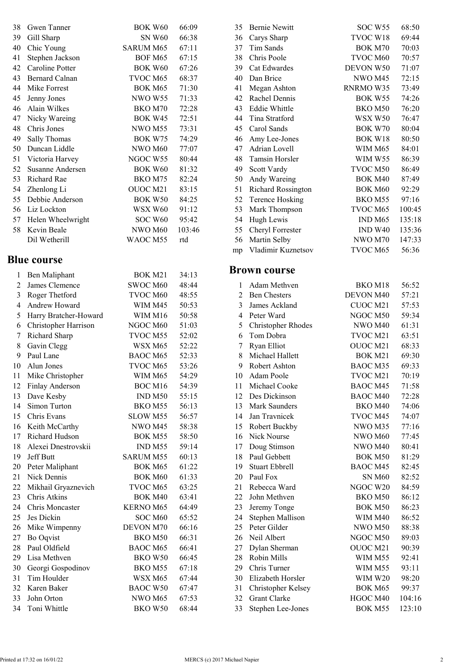| 38 | Gwen Tanner       | BOK W60        | 66:09  |  |
|----|-------------------|----------------|--------|--|
| 39 | Gill Sharp        | SN W60         | 66:38  |  |
| 40 | Chic Young        | SARUM M65      | 67:11  |  |
| 41 | Stephen Jackson   | BOF M65        | 67:15  |  |
| 42 | Caroline Potter   | BOK W60        | 67:26  |  |
| 43 | Bernard Calnan    | TVOC M65       | 68:37  |  |
| 44 | Mike Forrest      | BOK M65        | 71:30  |  |
| 45 | Jenny Jones       | NWO W55        | 71:33  |  |
| 46 | Alain Wilkes      | BKO M70        | 72:28  |  |
| 47 | Nicky Wareing     | BOK W45        | 72:51  |  |
| 48 | Chris Jones       | NWO M55        | 73:31  |  |
| 49 | Sally Thomas      | BOK W75        | 74:29  |  |
| 50 | Duncan Liddle     | NWO M60        | 77:07  |  |
| 51 | Victoria Harvey   | NGOC W55       | 80:44  |  |
| 52 | Susanne Andersen  | <b>BOK W60</b> | 81:32  |  |
| 53 | Richard Rae       | BKO M75        | 82:24  |  |
| 54 | Zhenlong Li       | OUOC M21       | 83:15  |  |
| 55 | Debbie Anderson   | BOK W50        | 84:25  |  |
| 56 | Liz Lockton       | WSX W60        | 91:12  |  |
| 57 | Helen Wheelwright | SOC W60        | 95:42  |  |
| 58 | Kevin Beale       | NWO M60        | 103:46 |  |
|    | Dil Wetherill     | WAOC M55       | rtd    |  |

## Blue course

| 1              | Ben Maliphant         | <b>BOK M21</b>   | 34:13 |  |
|----------------|-----------------------|------------------|-------|--|
| 2              | James Clemence        | SWOC M60         | 48:44 |  |
| 3              | Roger Thetford        | TVOC M60         | 48:55 |  |
| 4              | Andrew Howard         | WIM M45          | 50:53 |  |
| 5              | Harry Bratcher-Howard | <b>WIM M16</b>   | 50:58 |  |
| 6              | Christopher Harrison  | NGOC M60         | 51:03 |  |
| $\overline{7}$ | Richard Sharp         | TVOC M55         | 52:02 |  |
| 8              | Gavin Clegg           | WSX M65          | 52:22 |  |
| 9              | Paul Lane             | <b>BAOC M65</b>  | 52:33 |  |
| 10             | Alun Jones            | TVOC M65         | 53:26 |  |
| 11             | Mike Christopher      | WIM M65          | 54:29 |  |
| 12             | Finlay Anderson       | BOC M16          | 54:39 |  |
| 13             | Dave Kesby            | IND M50          | 55:15 |  |
| 14             | Simon Turton          | BKO M55          | 56:13 |  |
| 15             | Chris Evans           | SLOW M55         | 56:57 |  |
| 16             | Keith McCarthy        | NWO M45          | 58:38 |  |
| 17             | Richard Hudson        | BOK M55          | 58:50 |  |
| 18             | Alexei Dnestrovskii   | IND M55          | 59:14 |  |
| 19             | Jeff Butt             | <b>SARUM M55</b> | 60:13 |  |
| 20             | Peter Maliphant       | BOK M65          | 61:22 |  |
| 21             | Nick Dennis           | <b>BOK M60</b>   | 61:33 |  |
| 22             | Mikhail Gryaznevich   | TVOC M65         | 63:25 |  |
| 23             | Chris Atkins          | BOK M40          | 63:41 |  |
| 24             | Chris Moncaster       | <b>KERNO M65</b> | 64:49 |  |
| 25             | Jes Dickin            | SOC M60          | 65:52 |  |
| 26             | Mike Wimpenny         | DEVON M70        | 66:16 |  |
| 27             | Bo Oqvist             | BKO M50          | 66:31 |  |
| 28             | Paul Oldfield         | BAOC M65         | 66:41 |  |
| 29             | Lisa Methven          | BKO W50          | 66:45 |  |
| 30             | Georgi Gospodinov     | BKO M55          | 67:18 |  |
| 31             | Tim Houlder           | WSX M65          | 67:44 |  |
| 32             | Karen Baker           | <b>BAOC W50</b>  | 67:47 |  |
| 33             | John Orton            | NWO M65          | 67:53 |  |
| 34             | Toni Whittle          | BKO W50          | 68:44 |  |

| 35 | <b>Bernie Newitt</b>  | SOC W <sub>55</sub> | 68:50  |
|----|-----------------------|---------------------|--------|
| 36 | Carys Sharp           | TVOC W18            | 69:44  |
| 37 | Tim Sands             | BOK M70             | 70:03  |
| 38 | Chris Poole           | TVOC M60            | 70:57  |
| 39 | Cat Edwardes          | DEVON W50           | 71:07  |
| 40 | Dan Brice             | NWO M45             | 72:15  |
| 41 | Megan Ashton          | RNRMO W35           | 73:49  |
| 42 | Rachel Dennis         | BOK W55             | 74:26  |
| 43 | <b>Eddie Whittle</b>  | BKO M50             | 76:20  |
| 44 | Tina Stratford        | WSX W50             | 76:47  |
| 45 | Carol Sands           | BOK W70             | 80:04  |
| 46 | Amy Lee-Jones         | BOK W18             | 80:50  |
| 47 | Adrian Lovell         | <b>WIM M65</b>      | 84:01  |
| 48 | <b>Tamsin Horsler</b> | <b>WIM W55</b>      | 86:39  |
| 49 | Scott Vardy           | TVOC M50            | 86:49  |
| 50 | Andy Wareing          | <b>BOK M40</b>      | 87:49  |
| 51 | Richard Rossington    | BOK M60             | 92:29  |
| 52 | Terence Hosking       | BKO M55             | 97:16  |
| 53 | Mark Thompson         | TVOC M65            | 100:45 |
| 54 | Hugh Lewis            | IND M65             | 135:18 |
| 55 | Cheryl Forrester      | <b>IND W40</b>      | 135:36 |
| 56 | Martin Selby          | NWO M70             | 147:33 |
| mp | Vladimir Kuznetsov    | TVOC M65            | 56:36  |

## Brown course

| 1              | Adam Methven            | BKO M18        | 56:52  |
|----------------|-------------------------|----------------|--------|
| $\overline{2}$ | <b>Ben Chesters</b>     | DEVON M40      | 57:21  |
| 3              | James Ackland           | CUOC M21       | 57:53  |
| 4              | Peter Ward              | NGOC M50       | 59:34  |
| 5              | Christopher Rhodes      | NWO M40        | 61:31  |
| 6              | Tom Dobra               | TVOC M21       | 63:51  |
| 7              | Ryan Elliot             | OUOC M21       | 68:33  |
| 8              | Michael Hallett         | BOK M21        | 69:30  |
| 9              | Robert Ashton           | BAOC M35       | 69:33  |
| 10             | Adam Poole              | TVOC M21       | 70:19  |
| 11             | Michael Cooke           | BAOC M45       | 71:58  |
| 12             | Des Dickinson           | BAOC M40       | 72:28  |
| 13             | Mark Saunders           | BKO M40        | 74:06  |
| 14             | Jan Travnicek           | TVOC M45       | 74:07  |
| 15             | Robert Buckby           | NWO M35        | 77:16  |
| 16             | Nick Nourse             | NWO M60        | 77:45  |
| 17             | Doug Stimson            | NWO M40        | 80:41  |
| 18             | Paul Gebbett            | BOK M50        | 81:29  |
| 19             | <b>Stuart Ebbrell</b>   | BAOC M45       | 82:45  |
| 20             | Paul Fox                | SN M60         | 82:52  |
| 21             | Rebecca Ward            | NGOC W20       | 84:59  |
| 22             | John Methven            | BKO M50        | 86:12  |
| 23             | Jeremy Tonge            | <b>BOK M50</b> | 86:23  |
| 24             | <b>Stephen Mallison</b> | <b>WIM M40</b> | 86:52  |
| 25             | Peter Gilder            | NWO M50        | 88:38  |
| 26             | Neil Albert             | NGOC M50       | 89:03  |
| 27             | Dylan Sherman           | OUOC M21       | 90:39  |
| 28             | Robin Mills             | WIM M55        | 92:41  |
| 29             | Chris Turner            | WIM M55        | 93:11  |
| 30             | Elizabeth Horsler       | WIM W20        | 98:20  |
| 31             | Christopher Kelsey      | BOK M65        | 99:37  |
| 32             | <b>Grant Clarke</b>     | HGOC M40       | 104:16 |
| 33             | Stephen Lee-Jones       | BOK M55        | 123:10 |